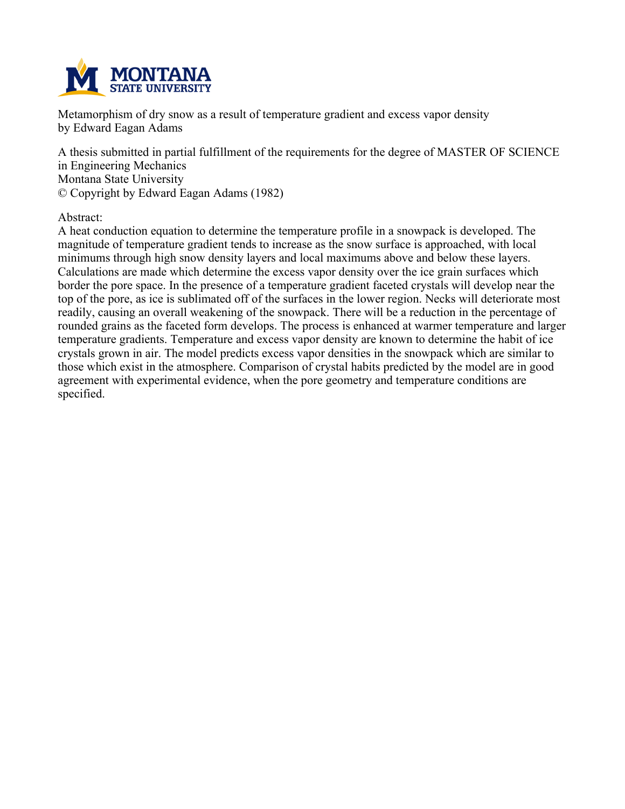

**Metamorphism of dry snow as a result of temperature gradient and excess vapor density by Edward Eagan Adams**

**A thesis submitted in partial fulfillment of the requirements for the degree of MASTER OF SCIENCE in Engineering Mechanics Montana State University © Copyright by Edward Eagan Adams (1982)**

**Abstract:**

**A heat conduction equation to determine the temperature profile in a snowpack is developed. The magnitude of temperature gradient tends to increase as the snow surface is approached, with local minimums through high snow density layers and local maximums above and below these layers. Calculations are made which determine the excess vapor density over the ice grain surfaces which border the pore space. In the presence of a temperature gradient faceted crystals will develop near the** top of the pore, as ice is sublimated off of the surfaces in the lower region. Necks will deteriorate most **readily, causing an overall weakening of the snowpack. There will be a reduction in the percentage of rounded grains as the faceted form develops. The process is enhanced at warmer temperature and larger temperature gradients. Temperature and excess vapor density are known to determine the habit of ice crystals grown in air. The model predicts excess vapor densities in the snowpack which are similar to those which exist in the atmosphere. Comparison of crystal habits predicted by the model are in good agreement with experimental evidence, when the pore geometry and temperature conditions are specified.**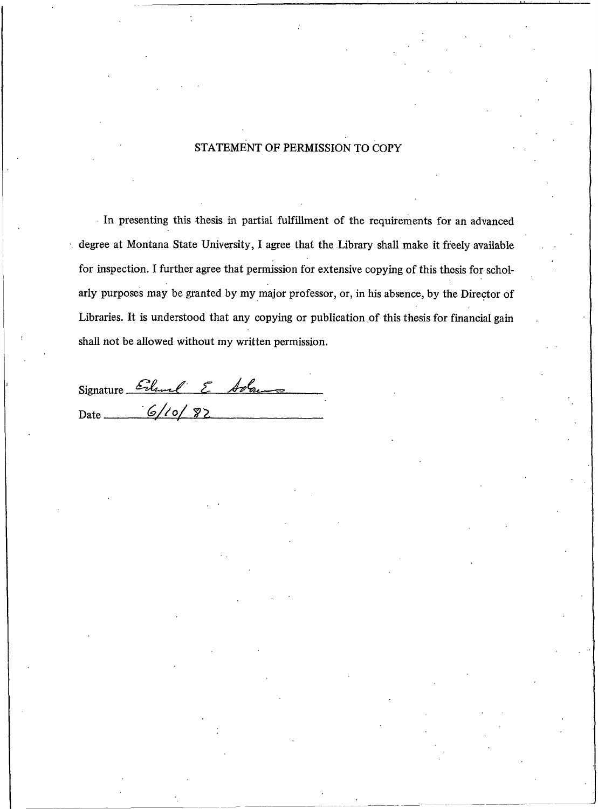## STATEMENT OF PERMISSION TO COPY

In presenting this thesis in partial fulfillment of the requirements for an advanced degree at Montana State University, I agree that the Library shall make it freely available for inspection. I further agree that permission for extensive copying of this thesis for scholarly purposes may be granted by my major professor, or, in his absence, by the Director of Libraries. It is understood that any copying or publication of this thesis for financial gain shall not be allowed without my written permission.

Signature Erland E Adams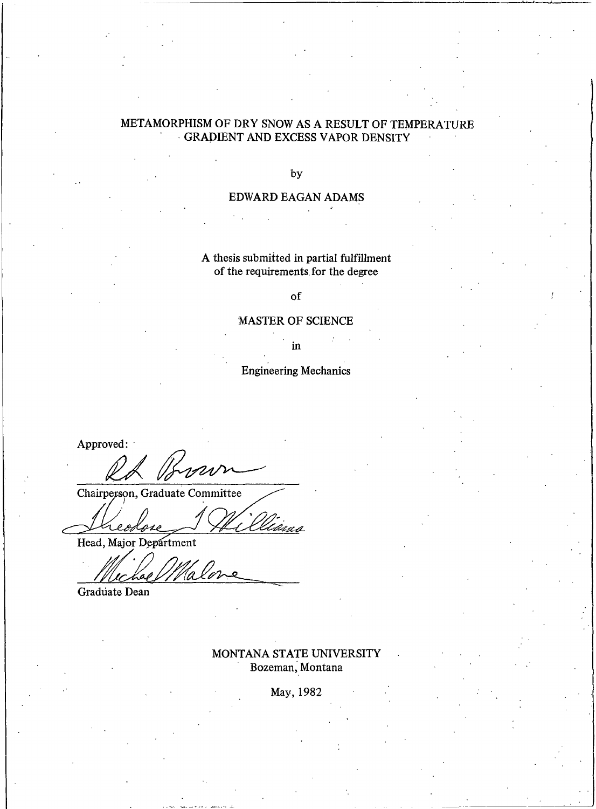# METAMORPHISM OF DRY SNOW AS A RESULT OF TEMPERATURE GRADIENT AND EXCESS VAPOR DENSITY

### by

## EDWARD EAGAN ADAMS

## A thesis submitted in partial fulfillment of the requirements for the degree

of

### **MASTER OF SCIENCE**

in

## **Engineering Mechanics**

Approved:

Chairperson, Graduate Committee

 $\rho$  p

Head, Major Department

Graduate Dean

## MONTANA STATE UNIVERSITY Bozeman, Montana

May, 1982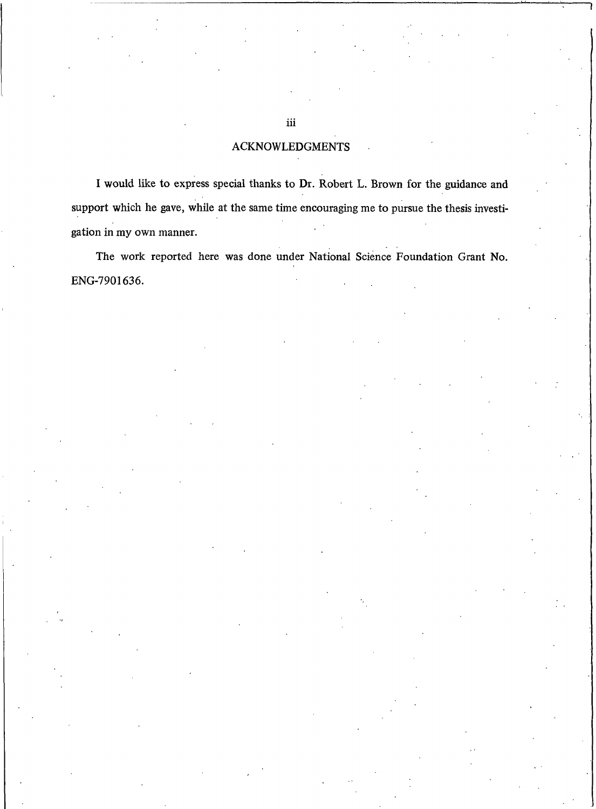## **ACKNOWLEDGMENTS**

I would like to express special thanks to Dr. Robert L. Brown for the guidance and support which he gave, while at the same time encouraging me to pursue the thesis investigation in my own manner.

The work reported here was done under National Science Foundation Grant No. ENG-7901636.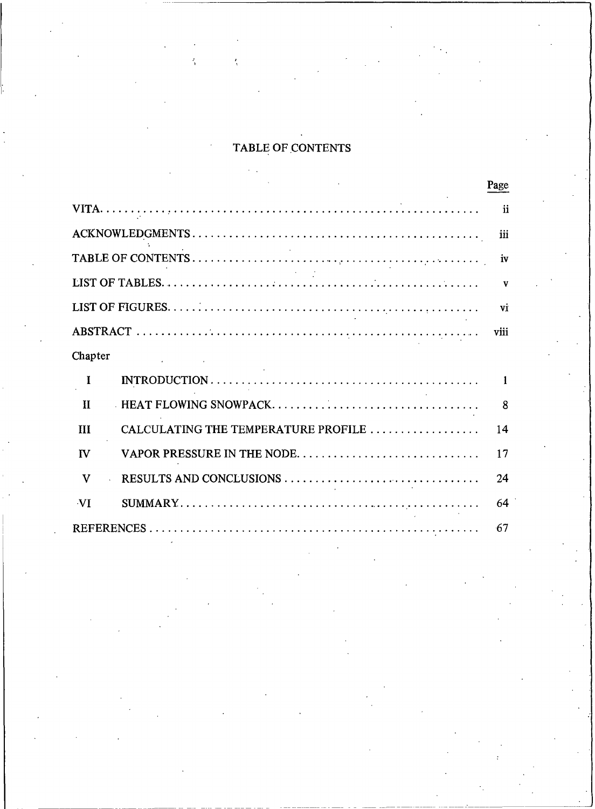# TABLE OF CONTENTS

|                                            | Page          |
|--------------------------------------------|---------------|
|                                            | $\mathbf{ii}$ |
|                                            | iii           |
|                                            | iv            |
|                                            | $\mathbf{v}$  |
|                                            | vi            |
|                                            | viii          |
| Chapter                                    |               |
| T                                          | 1             |
| HEAT FLOWING SNOWPACK<br>$\mathbf{I}$      | 8             |
| CALCULATING THE TEMPERATURE PROFILE<br>Ш   | 14            |
| VAPOR PRESSURE IN THE NODE<br>$\mathbf{v}$ | 17            |
| RESULTS AND CONCLUSIONS<br>v               | 24            |
| -VI                                        | 64            |
|                                            | 67            |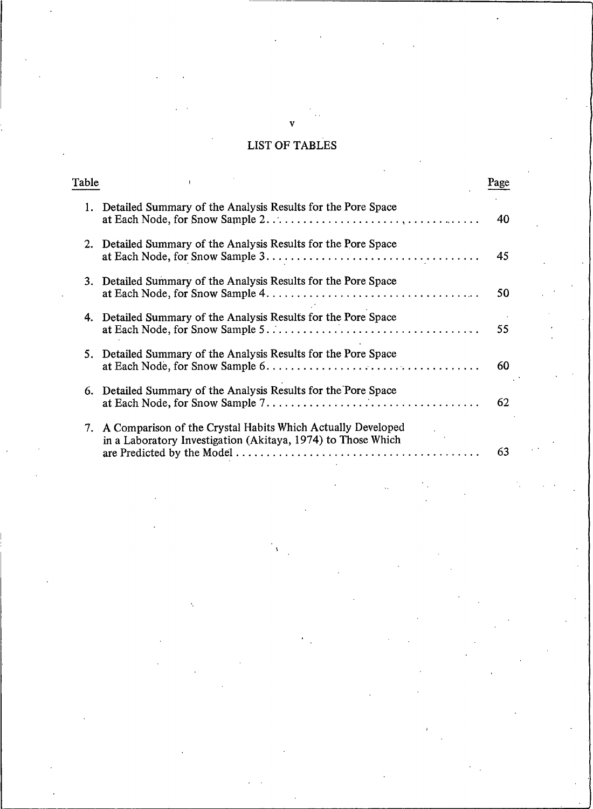# **LIST OF TABLES**

| Table |                                                                                                                                | Page |
|-------|--------------------------------------------------------------------------------------------------------------------------------|------|
|       | 1. Detailed Summary of the Analysis Results for the Pore Space                                                                 | 40   |
|       | 2. Detailed Summary of the Analysis Results for the Pore Space                                                                 | 45   |
|       | 3. Detailed Summary of the Analysis Results for the Pore Space                                                                 | 50   |
| 4.    | Detailed Summary of the Analysis Results for the Pore Space                                                                    | 55   |
|       | 5. Detailed Summary of the Analysis Results for the Pore Space                                                                 | 60   |
|       | 6. Detailed Summary of the Analysis Results for the Pore Space                                                                 | 62   |
|       | 7. A Comparison of the Crystal Habits Which Actually Developed<br>in a Laboratory Investigation (Akitaya, 1974) to Those Which | 63   |

#### v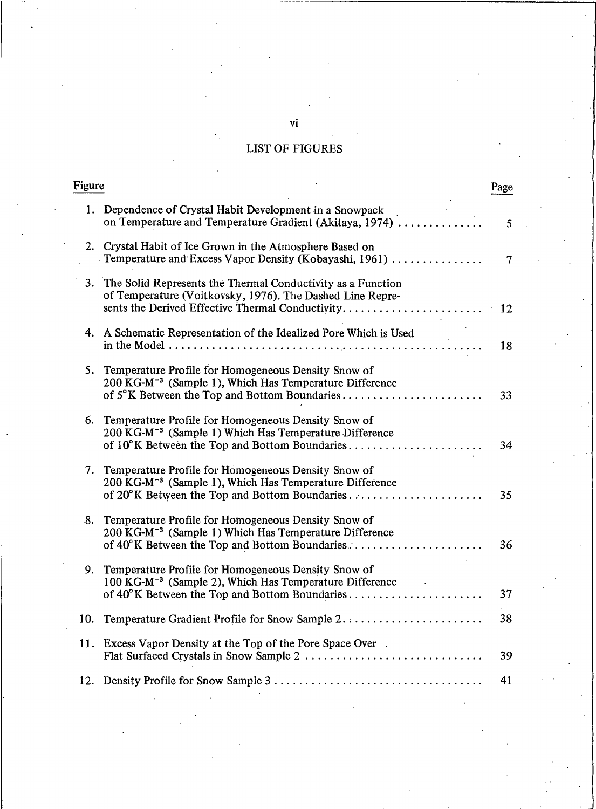# **LIST OF FIGURES**

|     | Figure                                                                                                                                                                         |    |
|-----|--------------------------------------------------------------------------------------------------------------------------------------------------------------------------------|----|
|     | 1. Dependence of Crystal Habit Development in a Snowpack<br>on Temperature and Temperature Gradient (Akitaya, 1974)                                                            | 5  |
|     | 2. Crystal Habit of Ice Grown in the Atmosphere Based on<br>Temperature and Excess Vapor Density (Kobayashi, 1961)                                                             | 7  |
|     | 3. The Solid Represents the Thermal Conductivity as a Function<br>of Temperature (Voitkovsky, 1976). The Dashed Line Repre-                                                    |    |
|     | 4. A Schematic Representation of the Idealized Pore Which is Used<br>in the Model $\dots\dots\dots\dots\dots\dots\dots\dots\dots\dots$                                         | 18 |
|     | 5. Temperature Profile for Homogeneous Density Snow of<br>200 KG-M <sup>-3</sup> (Sample 1), Which Has Temperature Difference<br>of 5°K Between the Top and Bottom Boundaries  | 33 |
| 6.  | Temperature Profile for Homogeneous Density Snow of<br>200 KG-M <sup>-3</sup> (Sample 1) Which Has Temperature Difference<br>of 10°K Between the Top and Bottom Boundaries     | 34 |
|     | 7. Temperature Profile for Homogeneous Density Snow of<br>200 KG-M <sup>-3</sup> (Sample 1), Which Has Temperature Difference<br>of 20°K Between the Top and Bottom Boundaries | 35 |
| 8.  | Temperature Profile for Homogeneous Density Snow of<br>200 KG-M <sup>-3</sup> (Sample 1) Which Has Temperature Difference<br>of 40°K Between the Top and Bottom Boundaries     | 36 |
| 9.  | Temperature Profile for Homogeneous Density Snow of<br>100 KG-M <sup>-3</sup> (Sample 2), Which Has Temperature Difference<br>of 40°K Between the Top and Bottom Boundaries    | 37 |
| 10. | Temperature Gradient Profile for Snow Sample 2                                                                                                                                 | 38 |
|     | 11. Excess Vapor Density at the Top of the Pore Space Over.                                                                                                                    | 39 |
|     |                                                                                                                                                                                | 41 |

 $\mathbf{vi}$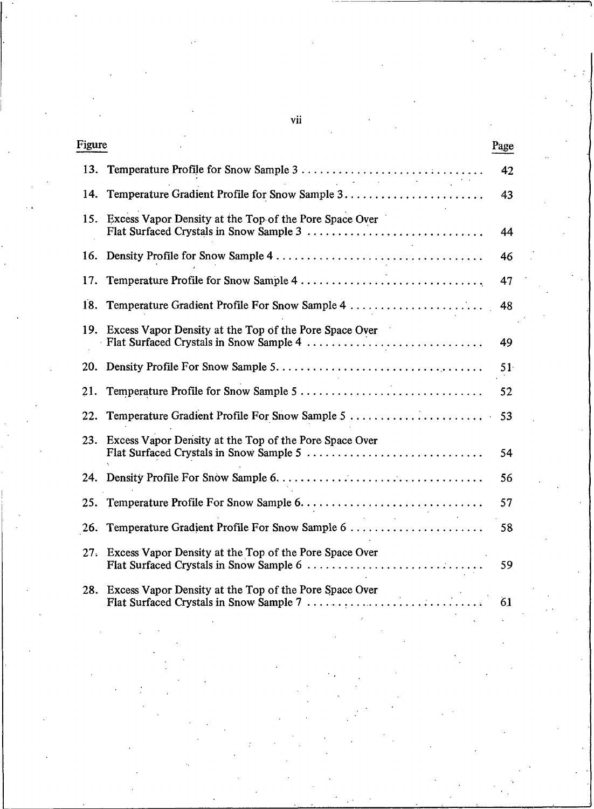| Figure |                                                                                                       | Page |
|--------|-------------------------------------------------------------------------------------------------------|------|
| 13.    | and the company of the                                                                                | 42   |
| 14.    |                                                                                                       | 43   |
| 15.    | Excess Vapor Density at the Top of the Pore Space Over                                                | 44   |
| 16.    |                                                                                                       | 46   |
| 17.    | Temperature Profile for Snow Sample 4                                                                 | 47   |
| 18.    | Temperature Gradient Profile For Snow Sample 4                                                        | 48   |
|        | 19. Excess Vapor Density at the Top of the Pore Space Over                                            | 49   |
| 20.    |                                                                                                       | 51   |
| 21.    |                                                                                                       | 52   |
| 22.    | Temperature Gradient Profile For Snow Sample 5                                                        | 53   |
| 23.    | Excess Vapor Density at the Top of the Pore Space Over                                                | 54   |
| 24.    |                                                                                                       | 56   |
| 25.    |                                                                                                       | 57   |
| 26.    | Temperature Gradient Profile For Snow Sample 6                                                        | 58   |
| 27.    | Excess Vapor Density at the Top of the Pore Space Over                                                | 59   |
|        | 28. Excess Vapor Density at the Top of the Pore Space Over<br>Flat Surfaced Crystals in Snow Sample 7 | 61   |
|        |                                                                                                       |      |
|        |                                                                                                       |      |
|        |                                                                                                       |      |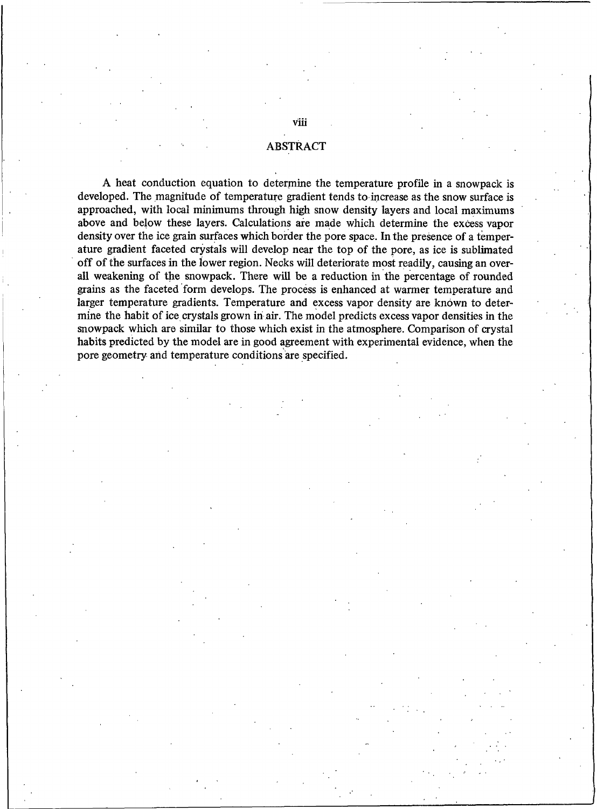## **ABSTRACT**

A heat conduction equation to determine the temperature profile in a snowpack is developed. The magnitude of temperature gradient tends to increase as the snow surface is approached, with local minimums through high snow density layers and local maximums above and below these layers. Calculations are made which determine the excess vapor density over the ice grain surfaces which border the pore space. In the presence of a temperature gradient faceted crystals will develop near the top of the pore, as ice is sublimated off of the surfaces in the lower region. Necks will deteriorate most readily, causing an overall weakening of the snowpack. There will be a reduction in the percentage of rounded grains as the faceted form develops. The process is enhanced at warmer temperature and larger temperature gradients. Temperature and excess vapor density are known to determine the habit of ice crystals grown in air. The model predicts excess vapor densities in the snowpack which are similar to those which exist in the atmosphere. Comparison of crystal habits predicted by the model are in good agreement with experimental evidence, when the pore geometry and temperature conditions are specified.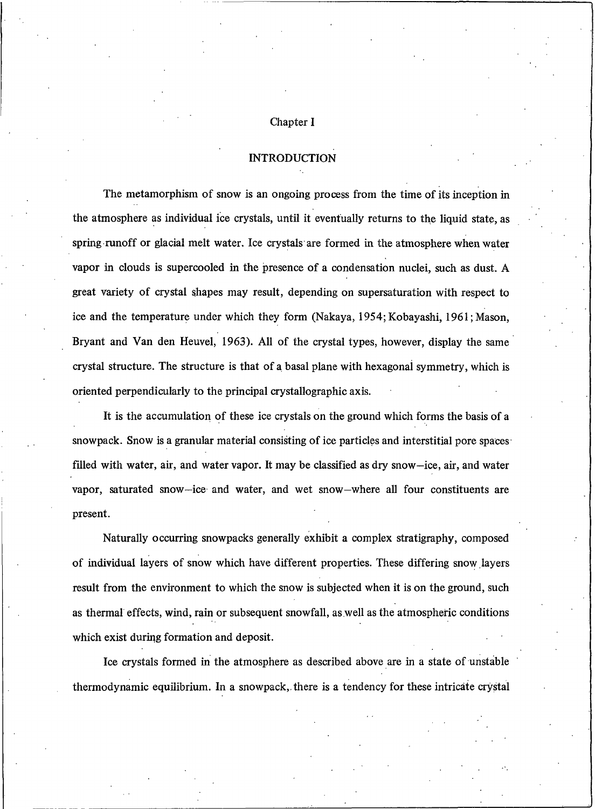#### Chapter I

### **INTRODUCTION**

The metamorphism of snow is an ongoing process from the time of its inception in the atmosphere as individual ice crystals, until it eventually returns to the liquid state, as spring runoff or glacial melt water. Ice crystals are formed in the atmosphere when water vapor in clouds is supercooled in the presence of a condensation nuclei, such as dust. A great variety of crystal shapes may result, depending on supersaturation with respect to ice and the temperature under which they form (Nakaya, 1954; Kobayashi, 1961; Mason, Bryant and Van den Heuvel, 1963). All of the crystal types, however, display the same crystal structure. The structure is that of a basal plane with hexagonal symmetry, which is oriented perpendicularly to the principal crystallographic axis.

It is the accumulation of these ice crystals on the ground which forms the basis of a snowpack. Snow is a granular material consisting of ice particles and interstitial pore spaces filled with water, air, and water vapor. It may be classified as dry snow-ice, air, and water vapor, saturated snow-ice and water, and wet snow-where all four constituents are present.

Naturally occurring snowpacks generally exhibit a complex stratigraphy, composed of individual layers of snow which have different properties. These differing snow layers result from the environment to which the snow is subjected when it is on the ground, such as thermal effects, wind, rain or subsequent snowfall, as well as the atmospheric conditions which exist during formation and deposit.

Ice crystals formed in the atmosphere as described above are in a state of unstable thermodynamic equilibrium. In a snowpack, there is a tendency for these intricate crystal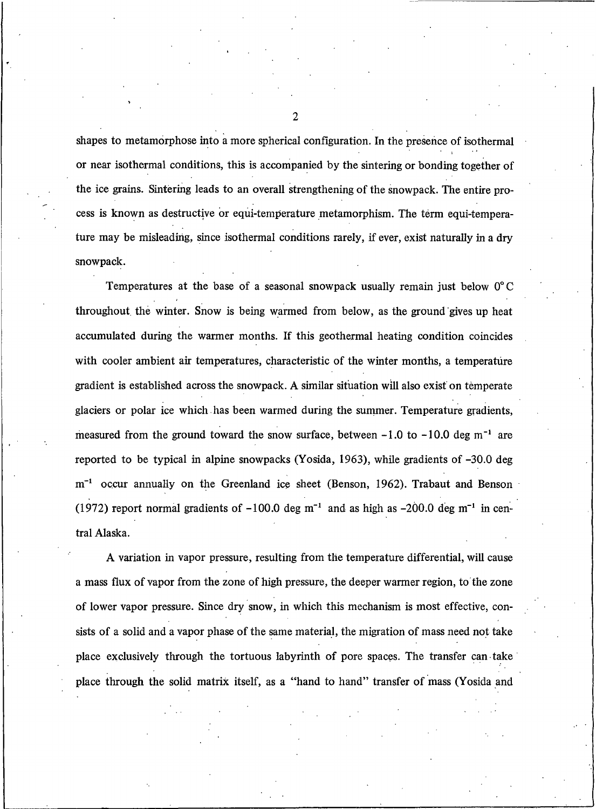shapes to metamorphose into a more spherical configuration. In the presence of isothermal or near isothermal conditions, this is accompanied by the sintering or bonding together of the ice grains. Sintering leads to an overall strengthening of the snowpack. The entire process is known as destructive or equi-temperature metamorphism. The term equi-temperature may be misleading, since isothermal conditions rarely, if ever, exist naturally in a dry snowpack.

Temperatures at the base of a seasonal snowpack usually remain just below 0°C throughout the winter. Snow is being warmed from below, as the ground gives up heat accumulated during the warmer months. If this geothermal heating condition coincides with cooler ambient air temperatures, characteristic of the winter months, a temperature gradient is established across the snowpack. A similar situation will also exist on temperate glaciers or polar ice which has been warmed during the summer. Temperature gradients, measured from the ground toward the snow surface, between  $-1.0$  to  $-10.0$  deg m<sup>-1</sup> are reported to be typical in alpine snowpacks (Yosida, 1963), while gradients of -30.0 deg m<sup>-1</sup> occur annually on the Greenland ice sheet (Benson, 1962). Trabaut and Benson (1972) report normal gradients of  $-100.0$  deg m<sup>-1</sup> and as high as  $-200.0$  deg m<sup>-1</sup> in central Alaska.

A variation in vapor pressure, resulting from the temperature differential, will cause a mass flux of vapor from the zone of high pressure, the deeper warmer region, to the zone of lower vapor pressure. Since dry snow, in which this mechanism is most effective, consists of a solid and a vapor phase of the same material, the migration of mass need not take place exclusively through the tortuous labyrinth of pore spaces. The transfer can take place through the solid matrix itself, as a "hand to hand" transfer of mass (Yosida and

 $\overline{c}$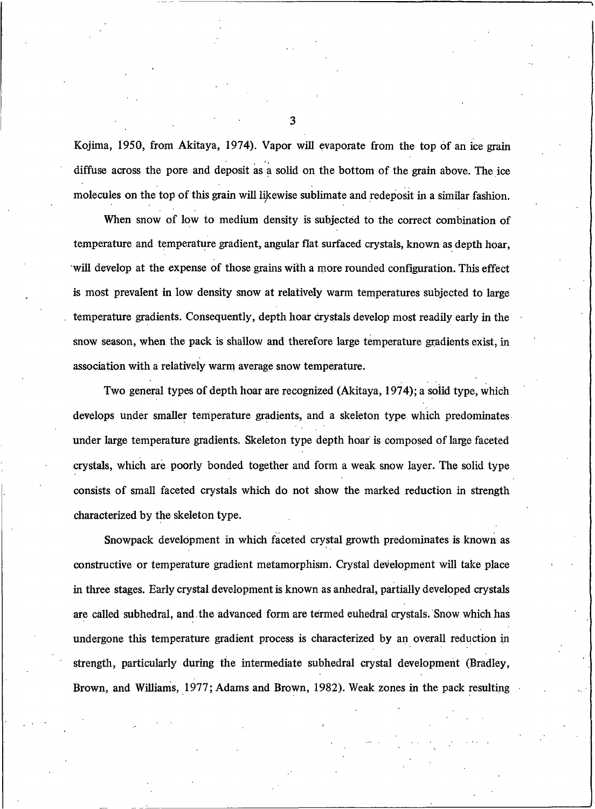Kojima, 1950, from Akitaya, 1974). Vapor will evaporate from the top of an ice grain diffuse across the pore and deposit as a solid on the bottom of the grain above. The ice molecules on the top of this grain will likewise sublimate and redeposit in a similar fashion.

When snow of low to medium density is subjected to the correct combination of temperature and temperature gradient, angular flat surfaced crystals, known as depth hoar, will develop at the expense of those grains with a more rounded configuration. This effect is most prevalent in low density snow at relatively warm temperatures subjected to large temperature gradients. Consequently, depth hoar crystals develop most readily early in the snow season, when the pack is shallow and therefore large temperature gradients exist, in association with a relatively warm average snow temperature.

Two general types of depth hoar are recognized (Akitaya, 1974); a solid type, which develops under smaller temperature gradients, and a skeleton type which predominates under large temperature gradients. Skeleton type depth hoar is composed of large faceted crystals, which are poorly bonded together and form a weak snow layer. The solid type consists of small faceted crystals which do not show the marked reduction in strength characterized by the skeleton type.

Snowpack development in which faceted crystal growth predominates is known as constructive or temperature gradient metamorphism. Crystal development will take place in three stages. Early crystal development is known as anhedral, partially developed crystals are called subhedral, and the advanced form are termed euhedral crystals. Snow which has undergone this temperature gradient process is characterized by an overall reduction in strength, particularly during the intermediate subhedral crystal development (Bradley, Brown, and Williams, 1977; Adams and Brown, 1982). Weak zones in the pack resulting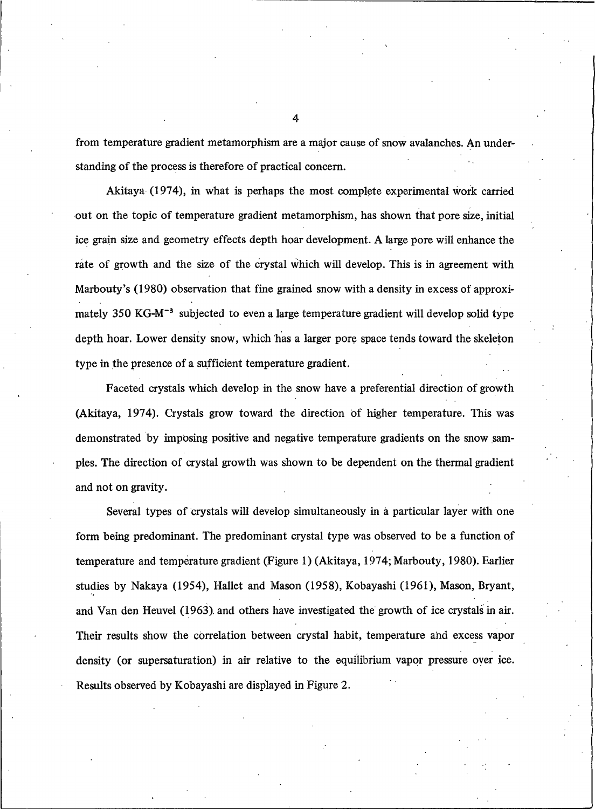from temperature gradient metamorphism are a major cause of snow avalanches. An understanding of the process is therefore of practical concern.

Akitaya (1974), in what is perhaps the most complete experimental work carried out on the topic of temperature gradient metamorphism, has shown that pore size, initial ice grain size and geometry effects depth hoar development. A large pore will enhance the rate of growth and the size of the crystal which will develop. This is in agreement with Marbouty's (1980) observation that fine grained snow with a density in excess of approximately 350 KG-M<sup>-3</sup> subjected to even a large temperature gradient will develop solid type depth hoar. Lower density snow, which has a larger pore space tends toward the skeleton type in the presence of a sufficient temperature gradient.

Faceted crystals which develop in the snow have a preferential direction of growth (Akitaya, 1974). Crystals grow toward the direction of higher temperature. This was demonstrated by imposing positive and negative temperature gradients on the snow samples. The direction of crystal growth was shown to be dependent on the thermal gradient and not on gravity.

Several types of crystals will develop simultaneously in a particular layer with one form being predominant. The predominant crystal type was observed to be a function of temperature and temperature gradient (Figure 1) (Akitaya, 1974; Marbouty, 1980). Earlier studies by Nakaya (1954), Hallet and Mason (1958), Kobayashi (1961), Mason, Bryant, and Van den Heuvel (1963) and others have investigated the growth of ice crystals in air. Their results show the correlation between crystal habit, temperature and excess vapor density (or supersaturation) in air relative to the equilibrium vapor pressure over ice. Results observed by Kobayashi are displayed in Figure 2.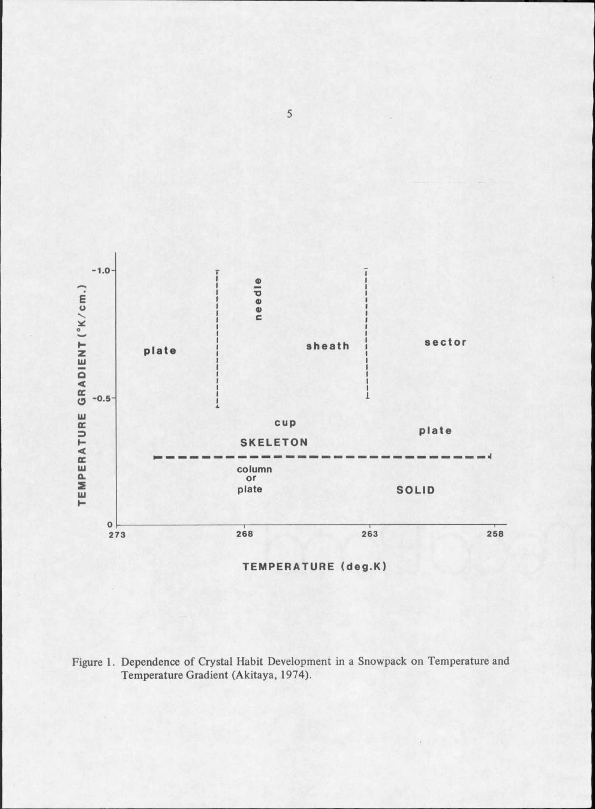

Figure 1. Dependence of Crystal Habit Development in a Snowpack on Temperature and Temperature Gradient (Akitaya, 1974).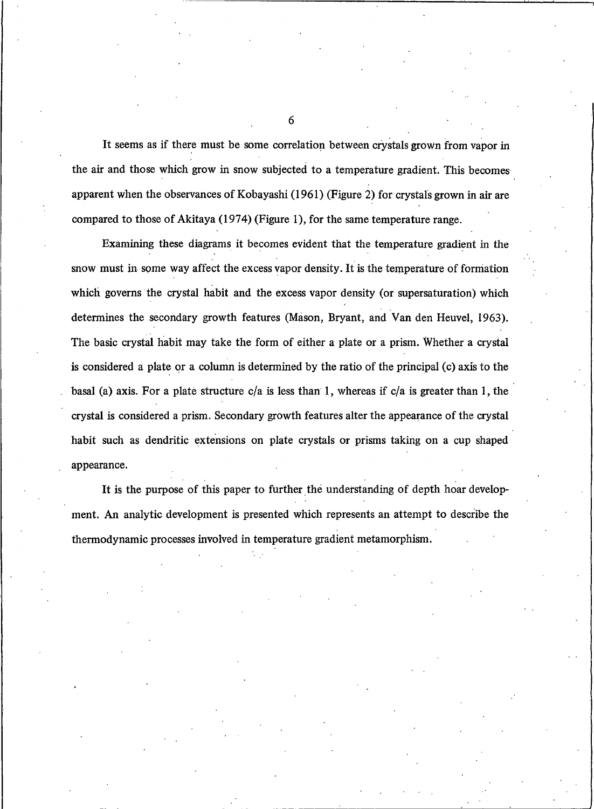It seems as if there must be some correlation between crystals grown from vapor in the air and those which grow in snow subjected to a temperature gradient. This becomes apparent when the observances of Kobayashi (1961) (Figure 2) for crystals grown in air are compared to those of Akitaya (1974) (Figure 1), for the same temperature range.

Examining these diagrams it becomes evident that the temperature gradient in the snow must in some way affect the excess vapor density. It is the temperature of formation which governs the crystal habit and the excess vapor density (or supersaturation) which determines the secondary growth features (Mason, Bryant, and Van den Heuvel, 1963). The basic crystal habit may take the form of either a plate or a prism. Whether a crystal is considered a plate or a column is determined by the ratio of the principal (c) axis to the basal (a) axis. For a plate structure  $c/a$  is less than 1, whereas if  $c/a$  is greater than 1, the crystal is considered a prism. Secondary growth features after the appearance of the crystal habit such as dendritic extensions on plate crystals or prisms taking on a cup shaped appearance.

It is the purpose of this paper to further the understanding of depth hoar development. An analytic development is presented which represents an attempt to describe the thermodynamic processes involved in temperature gradient metamorphism.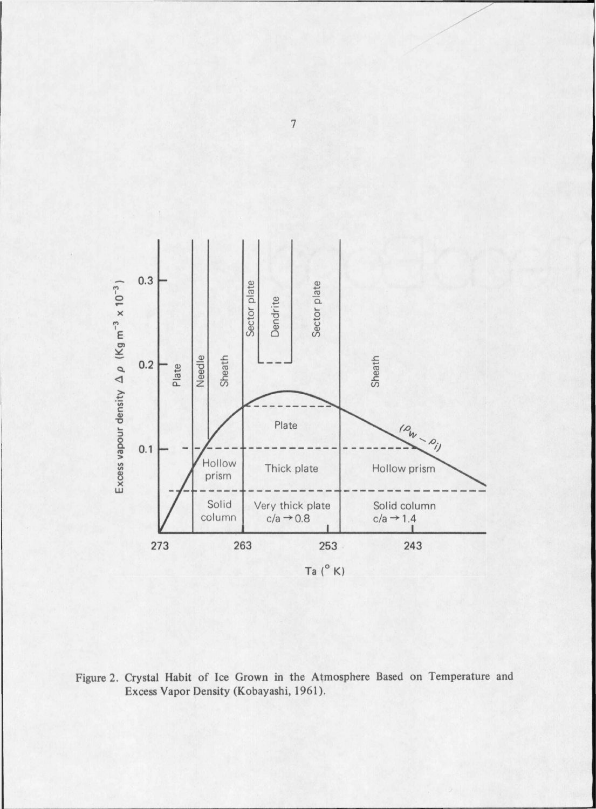

Figure 2. Crystal Habit of Ice Grown in the Atmosphere Based on Temperature and Excess Vapor Density (Kobayashi, 1961).

 $\overline{1}$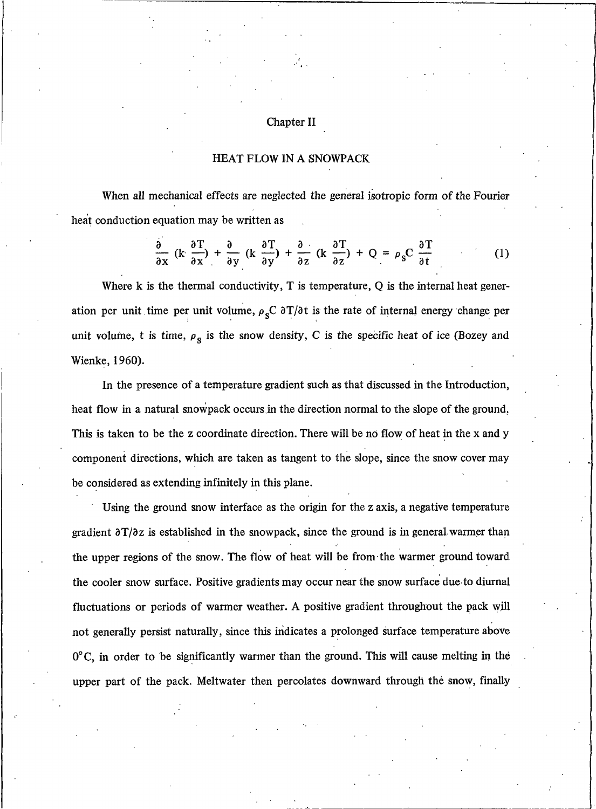#### Chapter II

### HEAT FLOW IN A SNOWPACK

When all mechanical effects are neglected the general isotropic form of the Fourier heat conduction equation may be written as

$$
\frac{\partial}{\partial x} \left( k \frac{\partial T}{\partial x} \right) + \frac{\partial}{\partial y} \left( k \frac{\partial T}{\partial y} \right) + \frac{\partial}{\partial z} \left( k \frac{\partial T}{\partial z} \right) + Q = \rho_{s} C \frac{\partial T}{\partial t}
$$
 (1)

Where  $k$  is the thermal conductivity,  $T$  is temperature,  $Q$  is the internal heat generation per unit time per unit volume,  $\rho_s C \frac{\partial T}{\partial t}$  is the rate of internal energy change per unit volume, t is time,  $\rho_s$  is the snow density, C is the specific heat of ice (Bozey and Wienke, 1960).

In the presence of a temperature gradient such as that discussed in the Introduction, heat flow in a natural snowpack occurs in the direction normal to the slope of the ground. This is taken to be the z coordinate direction. There will be no flow of heat in the x and y component directions, which are taken as tangent to the slope, since the snow cover may be considered as extending infinitely in this plane.

Using the ground snow interface as the origin for the z axis, a negative temperature gradient  $\frac{\partial T}{\partial z}$  is established in the snowpack, since the ground is in general warmer than the upper regions of the snow. The flow of heat will be from the warmer ground toward the cooler snow surface. Positive gradients may occur near the snow surface due to diurnal fluctuations or periods of warmer weather. A positive gradient throughout the pack will not generally persist naturally, since this indicates a prolonged surface temperature above  $0^{\circ}$ C, in order to be significantly warmer than the ground. This will cause melting in the upper part of the pack. Meltwater then percolates downward through the snow, finally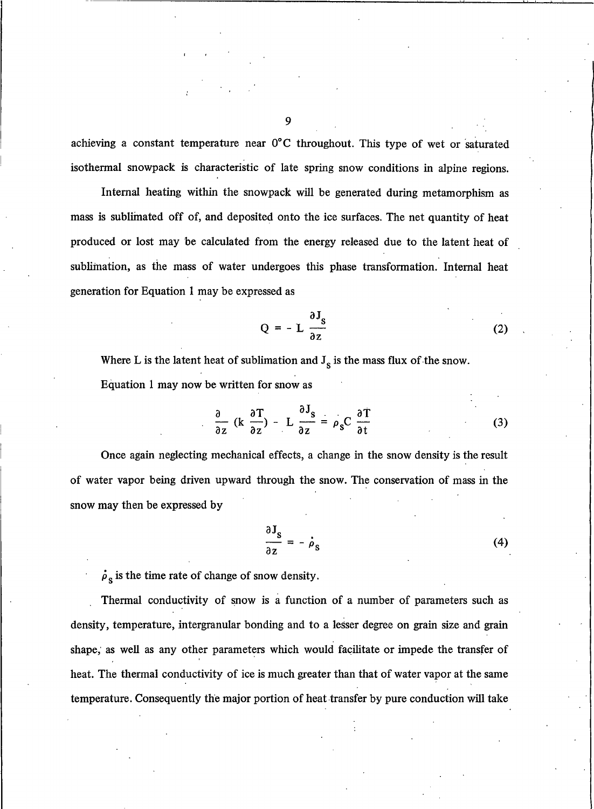achieving a constant temperature near 0°C throughout. This type of wet or saturated isothermal snowpack is characteristic of late spring snow conditions in alpine regions.

Internal heating within the snowpack will be generated during metamorphism as mass is sublimated off of, and deposited onto the ice surfaces. The net quantity of heat produced or lost may be calculated from the energy released due to the latent heat of sublimation, as the mass of water undergoes this phase transformation. Internal heat generation for Equation 1 may be expressed as

$$
Q = - L \frac{\partial J_s}{\partial z}
$$
 (2)

Where L is the latent heat of sublimation and  $J_s$  is the mass flux of the snow. Equation 1 may now be written for snow as

$$
\frac{\partial}{\partial z} \left( k \frac{\partial T}{\partial z} \right) - L \frac{\partial J_s}{\partial z} = \rho_s C \frac{\partial T}{\partial t}
$$
 (3)

Once again neglecting mechanical effects, a change in the snow density is the result of water vapor being driven upward through the snow. The conservation of mass in the snow may then be expressed by

$$
\frac{\partial J_s}{\partial z} = -\dot{\rho}_s \tag{4}
$$

 $\dot{\rho}_s$  is the time rate of change of snow density.

Thermal conductivity of snow is a function of a number of parameters such as density, temperature, intergranular bonding and to a lesser degree on grain size and grain shape, as well as any other parameters which would facilitate or impede the transfer of heat. The thermal conductivity of ice is much greater than that of water vapor at the same temperature. Consequently the major portion of heat transfer by pure conduction will take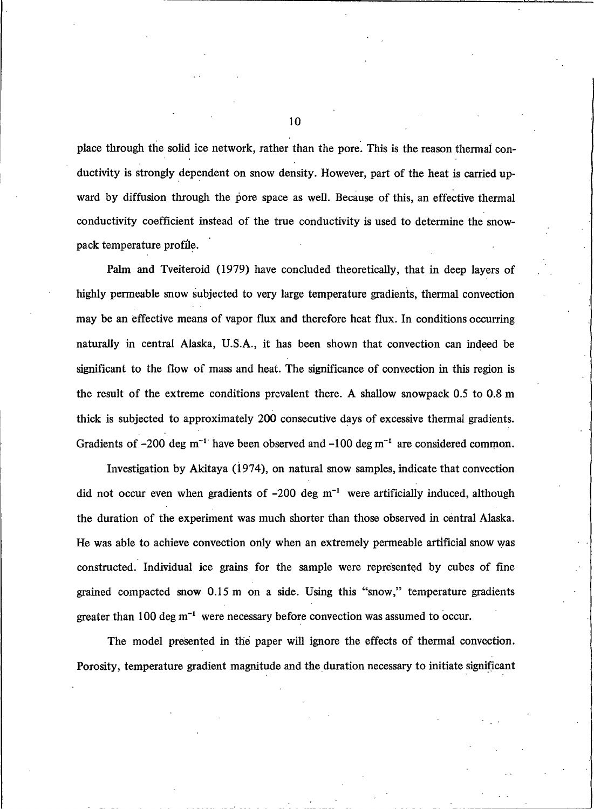place through the solid ice network, rather than the pore. This is the reason thermal conductivity is strongly dependent on snow density. However, part of the heat is carried upward by diffusion through the pore space as well. Because of this, an effective thermal conductivity coefficient instead of the true conductivity is used to determine the snowpack temperature profile.

Palm and Tveiteroid (1979) have concluded theoretically, that in deep layers of highly permeable snow subjected to very large temperature gradients, thermal convection may be an effective means of vapor flux and therefore heat flux. In conditions occurring naturally in central Alaska, U.S.A., it has been shown that convection can indeed be significant to the flow of mass and heat. The significance of convection in this region is the result of the extreme conditions prevalent there. A shallow snowpack 0.5 to 0.8 m thick is subjected to approximately 200 consecutive days of excessive thermal gradients. Gradients of  $-200$  deg m<sup>-1</sup> have been observed and  $-100$  deg m<sup>-1</sup> are considered common.

Investigation by Akitaya (1974), on natural snow samples, indicate that convection did not occur even when gradients of  $-200$  deg m<sup>-1</sup> were artificially induced, although the duration of the experiment was much shorter than those observed in central Alaska. He was able to achieve convection only when an extremely permeable artificial snow was constructed. Individual ice grains for the sample were represented by cubes of fine grained compacted snow 0.15 m on a side. Using this "snow," temperature gradients greater than 100 deg  $m^{-1}$  were necessary before convection was assumed to occur.

The model presented in the paper will ignore the effects of thermal convection. Porosity, temperature gradient magnitude and the duration necessary to initiate significant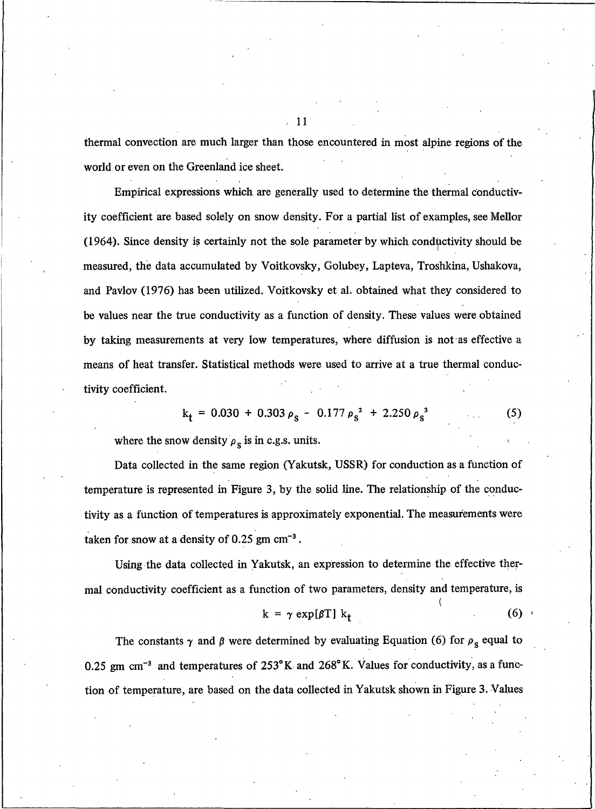thermal convection are much larger than those encountered in most alpine regions of the world or even on the Greenland ice sheet.

Empirical expressions which are generally used to determine the thermal conductivity coefficient are based solely on snow density. For a partial list of examples, see Mellor (1964). Since density is certainly not the sole parameter by which conductivity should be measured, the data accumulated by Voitkovsky, Golubey, Lapteva, Troshkina, Ushakova, and Pavlov (1976) has been utilized. Voitkovsky et al. obtained what they considered to be values near the true conductivity as a function of density. These values were obtained by taking measurements at very low temperatures, where diffusion is not as effective a means of heat transfer. Statistical methods were used to arrive at a true thermal conductivity coefficient.

$$
k_{t} = 0.030 + 0.303 \rho_{s} - 0.177 \rho_{s}^{2} + 2.250 \rho_{s}^{3}
$$
 (5)

where the snow density  $\rho_s$  is in c.g.s. units.

Data collected in the same region (Yakutsk, USSR) for conduction as a function of temperature is represented in Figure 3, by the solid line. The relationship of the conductivity as a function of temperatures is approximately exponential. The measurements were taken for snow at a density of  $0.25$  gm cm<sup>-3</sup>.

Using the data collected in Yakutsk, an expression to determine the effective thermal conductivity coefficient as a function of two parameters, density and temperature, is

$$
k = \gamma \exp[\beta T] k_t \tag{6}
$$

The constants  $\gamma$  and  $\beta$  were determined by evaluating Equation (6) for  $\rho_s$  equal to 0.25 gm cm<sup>-3</sup> and temperatures of  $253^{\circ}$ K and  $268^{\circ}$ K. Values for conductivity, as a function of temperature, are based on the data collected in Yakutsk shown in Figure 3. Values